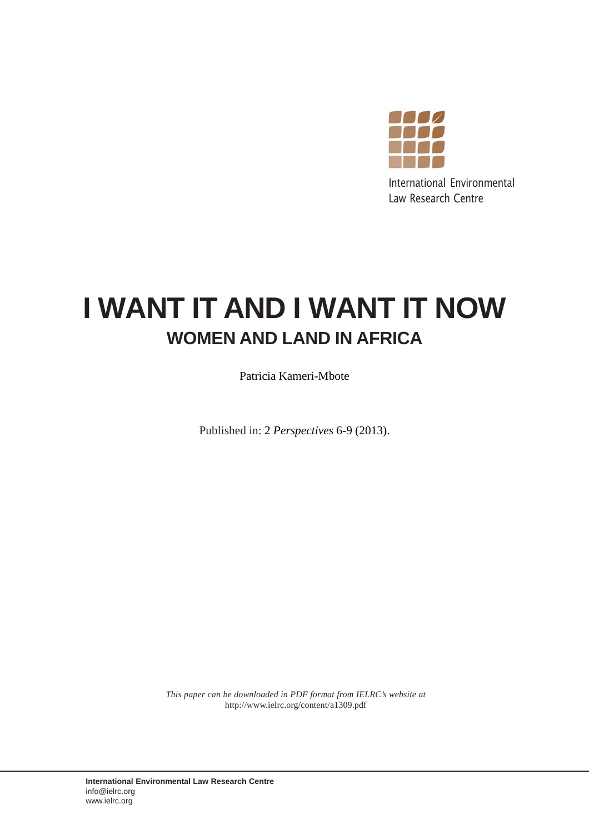

International Environmental Law Research Centre

# **I WANT IT AND I WANT IT NOW WOMEN AND LAND IN AFRICA**

Patricia Kameri-Mbote

Published in: 2 *Perspectives* 6-9 (2013).

*This paper can be downloaded in PDF format from IELRC's website at* http://www.ielrc.org/content/a1309.pdf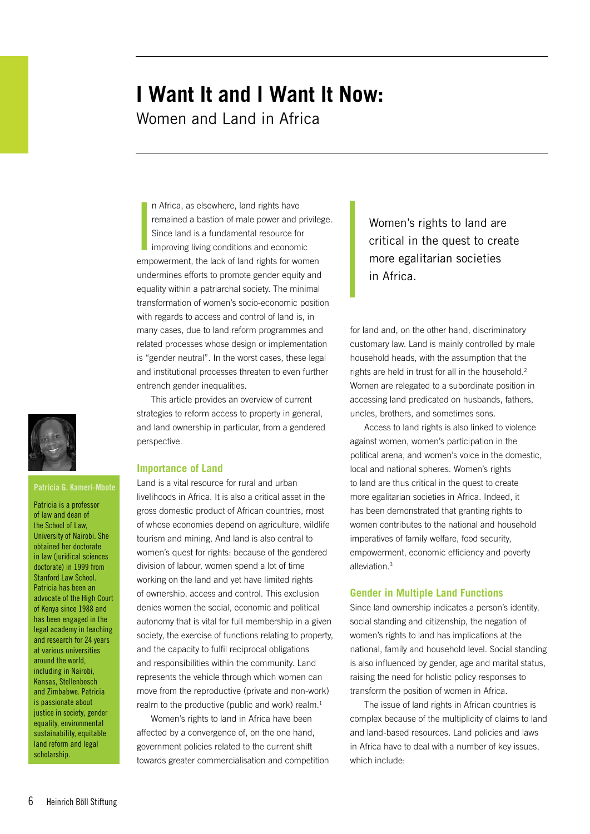# **I Want It and I Want It Now:**  Women and Land in Africa

|<br>|<br>| n Africa, as elsewhere, land rights have remained a bastion of male power and privilege. Since land is a fundamental resource for improving living conditions and economic empowerment, the lack of land rights for women undermines efforts to promote gender equity and equality within a patriarchal society. The minimal transformation of women's socio-economic position with regards to access and control of land is, in many cases, due to land reform programmes and related processes whose design or implementation is "gender neutral". In the worst cases, these legal and institutional processes threaten to even further entrench gender inequalities.

This article provides an overview of current strategies to reform access to property in general, and land ownership in particular, from a gendered perspective.

## **Importance of Land**

Land is a vital resource for rural and urban livelihoods in Africa. It is also a critical asset in the gross domestic product of African countries, most of whose economies depend on agriculture, wildlife tourism and mining. And land is also central to women's quest for rights: because of the gendered division of labour, women spend a lot of time working on the land and yet have limited rights of ownership, access and control. This exclusion denies women the social, economic and political autonomy that is vital for full membership in a given society, the exercise of functions relating to property, and the capacity to fulfil reciprocal obligations and responsibilities within the community. Land represents the vehicle through which women can move from the reproductive (private and non-work) realm to the productive (public and work) realm.<sup>1</sup>

Women's rights to land in Africa have been affected by a convergence of, on the one hand, government policies related to the current shift towards greater commercialisation and competition

Women's rights to land are critical in the quest to create more egalitarian societies in Africa.

for land and, on the other hand, discriminatory customary law. Land is mainly controlled by male household heads, with the assumption that the rights are held in trust for all in the household.<sup>2</sup> Women are relegated to a subordinate position in accessing land predicated on husbands, fathers, uncles, brothers, and sometimes sons.

Access to land rights is also linked to violence against women, women's participation in the political arena, and women's voice in the domestic, local and national spheres. Women's rights to land are thus critical in the quest to create more egalitarian societies in Africa. Indeed, it has been demonstrated that granting rights to women contributes to the national and household imperatives of family welfare, food security, empowerment, economic efficiency and poverty alleviation.3

#### **Gender in Multiple Land Functions**

Since land ownership indicates a person's identity, social standing and citizenship, the negation of women's rights to land has implications at the national, family and household level. Social standing is also influenced by gender, age and marital status, raising the need for holistic policy responses to transform the position of women in Africa.

The issue of land rights in African countries is complex because of the multiplicity of claims to land and land-based resources. Land policies and laws in Africa have to deal with a number of key issues, which include:



#### **Patricia G. Kameri-Mbote**

Patricia is a professor of law and dean of the School of Law, University of Nairobi. She obtained her doctorate in law (juridical sciences) doctorate) in 1999 from Stanford Law School. Patricia has been an advocate of the High Court of Kenya since 1988 and has been engaged in the legal academy in teaching and research for 24 years at various universities around the world, including in Nairobi, Kansas, Stellenbosch and Zimbabwe. Patricia is passionate about justice in society, gender equality, environmental sustainability, equitable land reform and legal scholarship.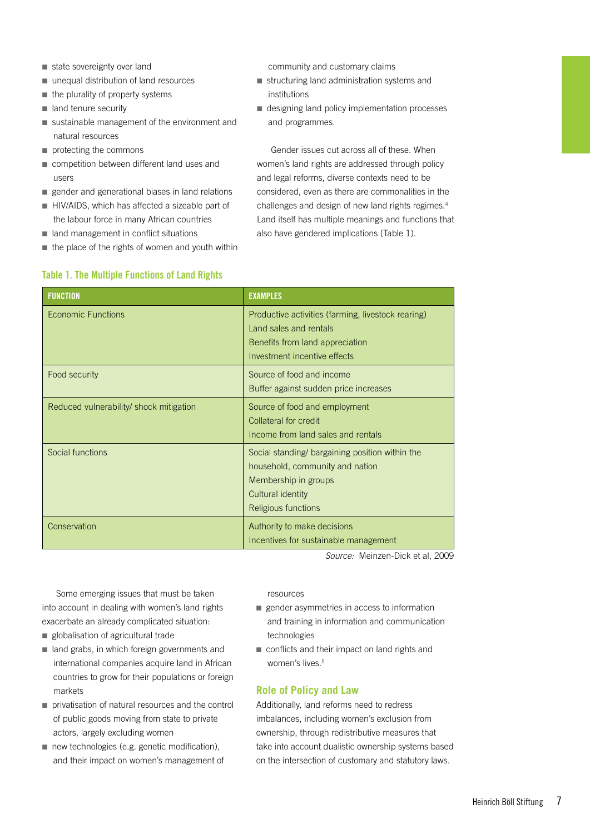- state sovereignty over land
- unequal distribution of land resources
- the plurality of property systems
- land tenure security
- sustainable management of the environment and natural resources
- protecting the commons
- competition between different land uses and users
- gender and generational biases in land relations
- HIV/AIDS, which has affected a sizeable part of the labour force in many African countries
- land management in conflict situations
- $\blacksquare$  the place of the rights of women and youth within

**Table 1. The Multiple Functions of Land Rights**

## community and customary claims

- structuring land administration systems and institutions
- designing land policy implementation processes and programmes.

Gender issues cut across all of these. When women's land rights are addressed through policy and legal reforms, diverse contexts need to be considered, even as there are commonalities in the challenges and design of new land rights regimes.4 Land itself has multiple meanings and functions that also have gendered implications (Table 1).

| <b>FUNCTION</b>                         | <b>EXAMPLES</b>                                                                                                                                        |
|-----------------------------------------|--------------------------------------------------------------------------------------------------------------------------------------------------------|
| Economic Functions                      | Productive activities (farming, livestock rearing)<br>Land sales and rentals<br>Benefits from land appreciation<br>Investment incentive effects        |
| Food security                           | Source of food and income<br>Buffer against sudden price increases                                                                                     |
| Reduced vulnerability/ shock mitigation | Source of food and employment<br>Collateral for credit<br>Income from land sales and rentals                                                           |
| Social functions                        | Social standing/ bargaining position within the<br>household, community and nation<br>Membership in groups<br>Cultural identity<br>Religious functions |
| Conservation                            | Authority to make decisions<br>Incentives for sustainable management                                                                                   |

*Source:* Meinzen-Dick et al, 2009

Some emerging issues that must be taken into account in dealing with women's land rights exacerbate an already complicated situation:

- globalisation of agricultural trade
- land grabs, in which foreign governments and international companies acquire land in African countries to grow for their populations or foreign markets
- privatisation of natural resources and the control of public goods moving from state to private actors, largely excluding women
- new technologies (e.g. genetic modification), and their impact on women's management of

resources

- gender asymmetries in access to information and training in information and communication technologies
- conflicts and their impact on land rights and women's lives.<sup>5</sup>

# **Role of Policy and Law**

Additionally, land reforms need to redress imbalances, including women's exclusion from ownership, through redistributive measures that take into account dualistic ownership systems based on the intersection of customary and statutory laws.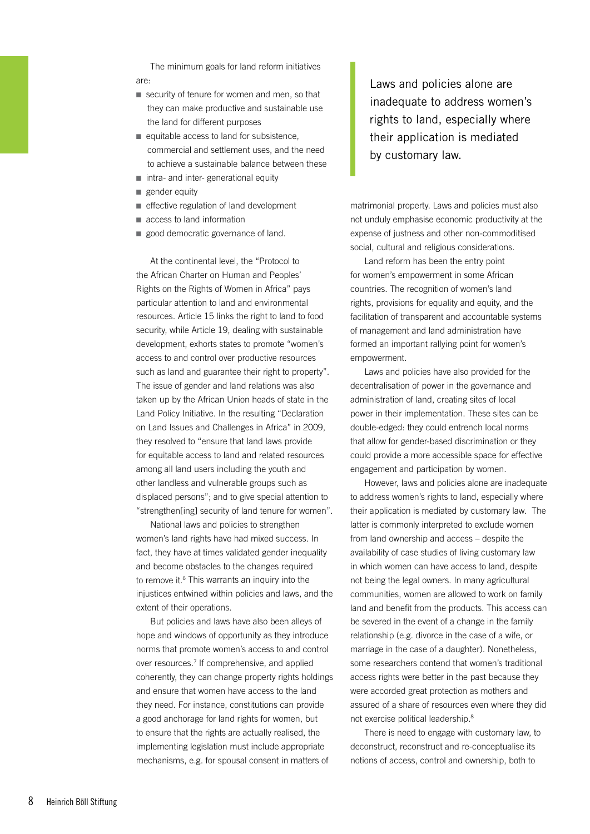The minimum goals for land reform initiatives are:

- security of tenure for women and men, so that they can make productive and sustainable use the land for different purposes
- equitable access to land for subsistence, commercial and settlement uses, and the need to achieve a sustainable balance between these
- intra- and inter- generational equity
- gender equity
- effective regulation of land development
- access to land information
- good democratic governance of land.

At the continental level, the "Protocol to the African Charter on Human and Peoples' Rights on the Rights of Women in Africa" pays particular attention to land and environmental resources. Article 15 links the right to land to food security, while Article 19, dealing with sustainable development, exhorts states to promote "women's access to and control over productive resources such as land and guarantee their right to property". The issue of gender and land relations was also taken up by the African Union heads of state in the Land Policy Initiative. In the resulting "Declaration on Land Issues and Challenges in Africa" in 2009, they resolved to "ensure that land laws provide for equitable access to land and related resources among all land users including the youth and other landless and vulnerable groups such as displaced persons"; and to give special attention to "strengthen[ing] security of land tenure for women".

National laws and policies to strengthen women's land rights have had mixed success. In fact, they have at times validated gender inequality and become obstacles to the changes required to remove it.<sup>6</sup> This warrants an inquiry into the injustices entwined within policies and laws, and the extent of their operations.

But policies and laws have also been alleys of hope and windows of opportunity as they introduce norms that promote women's access to and control over resources.7 If comprehensive, and applied coherently, they can change property rights holdings and ensure that women have access to the land they need. For instance, constitutions can provide a good anchorage for land rights for women, but to ensure that the rights are actually realised, the implementing legislation must include appropriate mechanisms, e.g. for spousal consent in matters of

Laws and policies alone are inadequate to address women's rights to land, especially where their application is mediated by customary law.

matrimonial property. Laws and policies must also not unduly emphasise economic productivity at the expense of justness and other non-commoditised social, cultural and religious considerations.

Land reform has been the entry point for women's empowerment in some African countries. The recognition of women's land rights, provisions for equality and equity, and the facilitation of transparent and accountable systems of management and land administration have formed an important rallying point for women's empowerment.

Laws and policies have also provided for the decentralisation of power in the governance and administration of land, creating sites of local power in their implementation. These sites can be double-edged: they could entrench local norms that allow for gender-based discrimination or they could provide a more accessible space for effective engagement and participation by women.

However, laws and policies alone are inadequate to address women's rights to land, especially where their application is mediated by customary law. The latter is commonly interpreted to exclude women from land ownership and access – despite the availability of case studies of living customary law in which women can have access to land, despite not being the legal owners. In many agricultural communities, women are allowed to work on family land and benefit from the products. This access can be severed in the event of a change in the family relationship (e.g. divorce in the case of a wife, or marriage in the case of a daughter). Nonetheless, some researchers contend that women's traditional access rights were better in the past because they were accorded great protection as mothers and assured of a share of resources even where they did not exercise political leadership.8

There is need to engage with customary law, to deconstruct, reconstruct and re-conceptualise its notions of access, control and ownership, both to